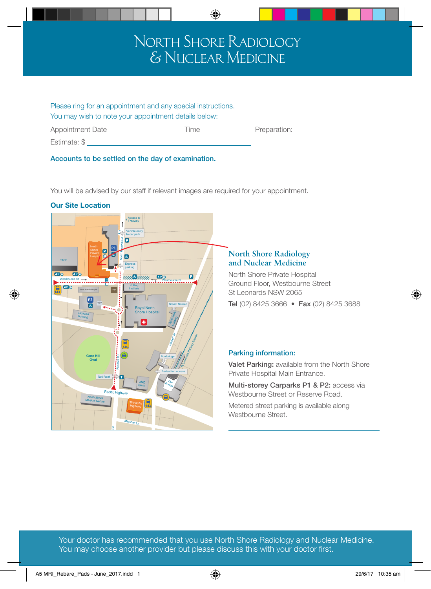# North Shore Radiology & Nuclear Medicine

◈



## Accounts to be settled on the day of examination.

You will be advised by our staff if relevant images are required for your appointment.

#### Our Site Location Access to Freeway Vehicle entry to car park North Reserve Ro **P1** Hospitz TAFE Express parking ē Westbourne St Westbourne St Kolling Institute Former Brown Building site **Chapel P2** Breast Screen Royal North Shore Hospital Community Douglas building building<br>Building ÌИ Herbert St St Leonards Railway Station Concert Concert Concert Concert Concert Concert Concert Concert Concert Concert Co<br>Since Concert Concert Concert Concert Concert Concert Concert Concert Concert Concert Concert Concert Concert<br>C **Gore Hill**  Reserve Rd Footbridge Oval **Oval** Pedestrian access Taxi Rank The ANZ Forum Pacific Highway North Shore Medical Centre 38 Pacific Marshall Ln Berry Rd

## **North Shore Radiology and Nuclear Medicine**

North Shore Private Hospital Ground Floor, Westbourne Street St Leonards NSW 2065

Tel (02) 8425 3666 • Fax (02) 8425 3688

## Parking information:

Valet Parking: available from the North Shore Private Hospital Main Entrance.

Multi-storey Carparks P1 & P2: access via Westbourne Street or Reserve Road.

Metered street parking is available along Westbourne Street.

Your doctor has recommended that you use North Shore Radiology and Nuclear Medicine. You may choose another provider but please discuss this with your doctor first.

♠